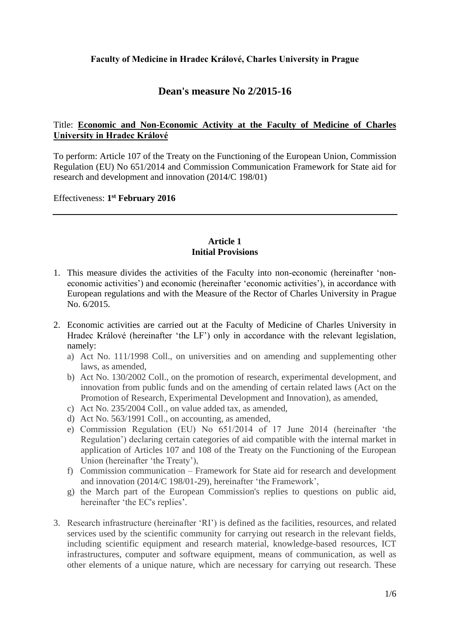# **Faculty of Medicine in Hradec Králové, Charles University in Prague**

# **Dean's measure No 2/2015-16**

# Title: **Economic and Non-Economic Activity at the Faculty of Medicine of Charles University in Hradec Králové**

To perform: Article 107 of the Treaty on the Functioning of the European Union, Commission Regulation (EU) No 651/2014 and Commission Communication Framework for State aid for research and development and innovation (2014/C 198/01)

Effectiveness: **1 st February 2016**

#### **Article 1 Initial Provisions**

- 1. This measure divides the activities of the Faculty into non-economic (hereinafter 'noneconomic activities') and economic (hereinafter 'economic activities'), in accordance with European regulations and with the Measure of the Rector of Charles University in Prague No. 6/2015.
- 2. Economic activities are carried out at the Faculty of Medicine of Charles University in Hradec Králové (hereinafter 'the LF') only in accordance with the relevant legislation, namely:
	- a) Act No. 111/1998 Coll., on universities and on amending and supplementing other laws, as amended,
	- b) Act No. 130/2002 Coll., on the promotion of research, experimental development, and innovation from public funds and on the amending of certain related laws (Act on the Promotion of Research, Experimental Development and Innovation), as amended,
	- c) Act No. 235/2004 Coll., on value added tax, as amended,
	- d) Act No. 563/1991 Coll., on accounting, as amended,
	- e) Commission Regulation (EU) No 651/2014 of 17 June 2014 (hereinafter 'the Regulation') declaring certain categories of aid compatible with the internal market in application of Articles 107 and 108 of the Treaty on the Functioning of the European Union (hereinafter 'the Treaty'),
	- f) Commission communication Framework for State aid for research and development and innovation (2014/C 198/01-29), hereinafter 'the Framework',
	- g) the March part of the European Commission's replies to questions on public aid, hereinafter 'the EC's replies'.
- 3. Research infrastructure (hereinafter 'RI') is defined as the facilities, resources, and related services used by the scientific community for carrying out research in the relevant fields, including scientific equipment and research material, knowledge-based resources, ICT infrastructures, computer and software equipment, means of communication, as well as other elements of a unique nature, which are necessary for carrying out research. These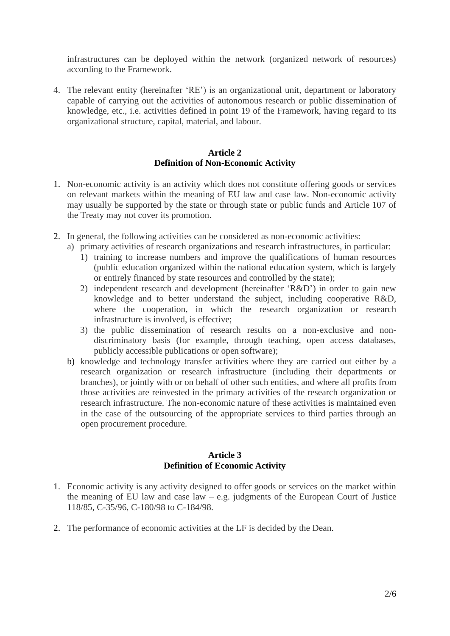infrastructures can be deployed within the network (organized network of resources) according to the Framework.

4. The relevant entity (hereinafter 'RE') is an organizational unit, department or laboratory capable of carrying out the activities of autonomous research or public dissemination of knowledge, etc., i.e. activities defined in point 19 of the Framework, having regard to its organizational structure, capital, material, and labour.

#### **Article 2 Definition of Non-Economic Activity**

- 1. Non-economic activity is an activity which does not constitute offering goods or services on relevant markets within the meaning of EU law and case law. Non-economic activity may usually be supported by the state or through state or public funds and Article 107 of the Treaty may not cover its promotion.
- 2. In general, the following activities can be considered as non-economic activities:
	- a) primary activities of research organizations and research infrastructures, in particular:
		- 1) training to increase numbers and improve the qualifications of human resources (public education organized within the national education system, which is largely or entirely financed by state resources and controlled by the state);
		- 2) independent research and development (hereinafter 'R&D') in order to gain new knowledge and to better understand the subject, including cooperative R&D, where the cooperation, in which the research organization or research infrastructure is involved, is effective;
		- 3) the public dissemination of research results on a non-exclusive and nondiscriminatory basis (for example, through teaching, open access databases, publicly accessible publications or open software);
	- b) knowledge and technology transfer activities where they are carried out either by a research organization or research infrastructure (including their departments or branches), or jointly with or on behalf of other such entities, and where all profits from those activities are reinvested in the primary activities of the research organization or research infrastructure. The non-economic nature of these activities is maintained even in the case of the outsourcing of the appropriate services to third parties through an open procurement procedure.

#### **Article 3 Definition of Economic Activity**

- 1. Economic activity is any activity designed to offer goods or services on the market within the meaning of EU law and case  $law - e.g.$  judgments of the European Court of Justice 118/85, C-35/96, C-180/98 to C-184/98.
- 2. The performance of economic activities at the LF is decided by the Dean.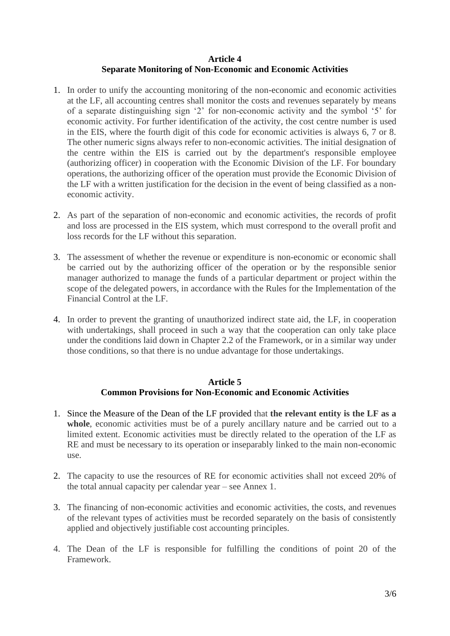# **Article 4 Separate Monitoring of Non-Economic and Economic Activities**

- 1. In order to unify the accounting monitoring of the non-economic and economic activities at the LF, all accounting centres shall monitor the costs and revenues separately by means of a separate distinguishing sign '2' for non-economic activity and the symbol '5' for economic activity. For further identification of the activity, the cost centre number is used in the EIS, where the fourth digit of this code for economic activities is always 6, 7 or 8. The other numeric signs always refer to non-economic activities. The initial designation of the centre within the EIS is carried out by the department's responsible employee (authorizing officer) in cooperation with the Economic Division of the LF. For boundary operations, the authorizing officer of the operation must provide the Economic Division of the LF with a written justification for the decision in the event of being classified as a noneconomic activity.
- 2. As part of the separation of non-economic and economic activities, the records of profit and loss are processed in the EIS system, which must correspond to the overall profit and loss records for the LF without this separation.
- 3. The assessment of whether the revenue or expenditure is non-economic or economic shall be carried out by the authorizing officer of the operation or by the responsible senior manager authorized to manage the funds of a particular department or project within the scope of the delegated powers, in accordance with the Rules for the Implementation of the Financial Control at the LF.
- 4. In order to prevent the granting of unauthorized indirect state aid, the LF, in cooperation with undertakings, shall proceed in such a way that the cooperation can only take place under the conditions laid down in Chapter 2.2 of the Framework, or in a similar way under those conditions, so that there is no undue advantage for those undertakings.

## **Article 5 Common Provisions for Non-Economic and Economic Activities**

- 1. Since the Measure of the Dean of the LF provided that **the relevant entity is the LF as a**  whole, economic activities must be of a purely ancillary nature and be carried out to a limited extent. Economic activities must be directly related to the operation of the LF as RE and must be necessary to its operation or inseparably linked to the main non-economic use.
- 2. The capacity to use the resources of RE for economic activities shall not exceed 20% of the total annual capacity per calendar year – see Annex 1.
- 3. The financing of non-economic activities and economic activities, the costs, and revenues of the relevant types of activities must be recorded separately on the basis of consistently applied and objectively justifiable cost accounting principles.
- 4. The Dean of the LF is responsible for fulfilling the conditions of point 20 of the Framework.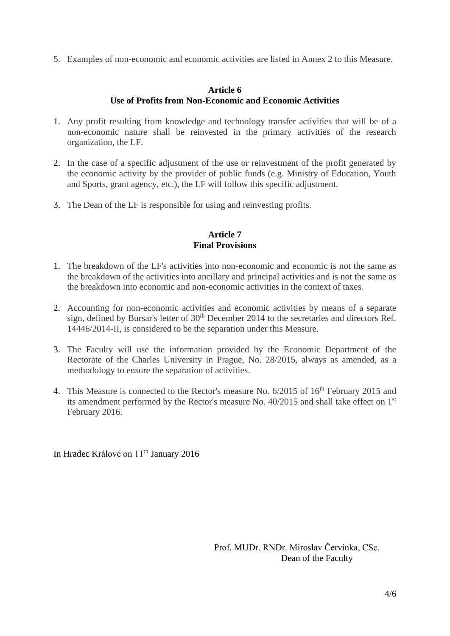5. Examples of non-economic and economic activities are listed in Annex 2 to this Measure.

### **Article 6 Use of Profits from Non-Economic and Economic Activities**

- 1. Any profit resulting from knowledge and technology transfer activities that will be of a non-economic nature shall be reinvested in the primary activities of the research organization, the LF.
- 2. In the case of a specific adjustment of the use or reinvestment of the profit generated by the economic activity by the provider of public funds (e.g. Ministry of Education, Youth and Sports, grant agency, etc.), the LF will follow this specific adjustment.
- 3. The Dean of the LF is responsible for using and reinvesting profits.

### **Article 7 Final Provisions**

- 1. The breakdown of the LF's activities into non-economic and economic is not the same as the breakdown of the activities into ancillary and principal activities and is not the same as the breakdown into economic and non-economic activities in the context of taxes.
- 2. Accounting for non-economic activities and economic activities by means of a separate sign, defined by Bursar's letter of 30<sup>th</sup> December 2014 to the secretaries and directors Ref. 14446/2014-II, is considered to be the separation under this Measure.
- 3. The Faculty will use the information provided by the Economic Department of the Rectorate of the Charles University in Prague, No. 28/2015, always as amended, as a methodology to ensure the separation of activities.
- 4. This Measure is connected to the Rector's measure No. 6/2015 of 16<sup>th</sup> February 2015 and its amendment performed by the Rector's measure No. 40/2015 and shall take effect on 1st February 2016.

In Hradec Králové on 11<sup>th</sup> January 2016

Prof. MUDr. RNDr. Miroslav Červinka, CSc. Dean of the Faculty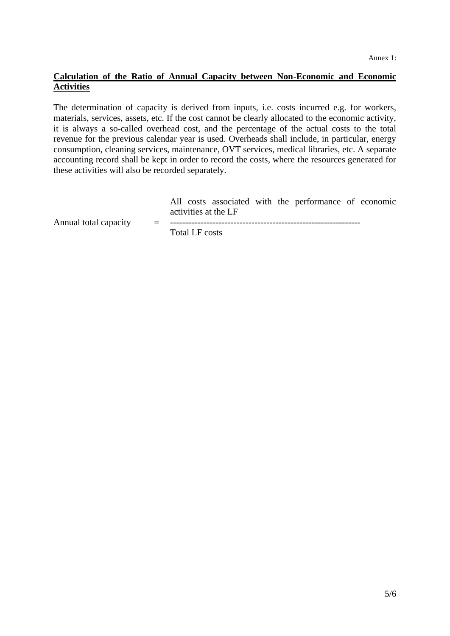# **Calculation of the Ratio of Annual Capacity between Non-Economic and Economic Activities**

The determination of capacity is derived from inputs, i.e. costs incurred e.g. for workers, materials, services, assets, etc. If the cost cannot be clearly allocated to the economic activity, it is always a so-called overhead cost, and the percentage of the actual costs to the total revenue for the previous calendar year is used. Overheads shall include, in particular, energy consumption, cleaning services, maintenance, OVT services, medical libraries, etc. A separate accounting record shall be kept in order to record the costs, where the resources generated for these activities will also be recorded separately.

|  |                      |  | All costs associated with the performance of economic |  |
|--|----------------------|--|-------------------------------------------------------|--|
|  | activities at the LF |  |                                                       |  |

Annual total capacity  $=$ 

Total LF costs